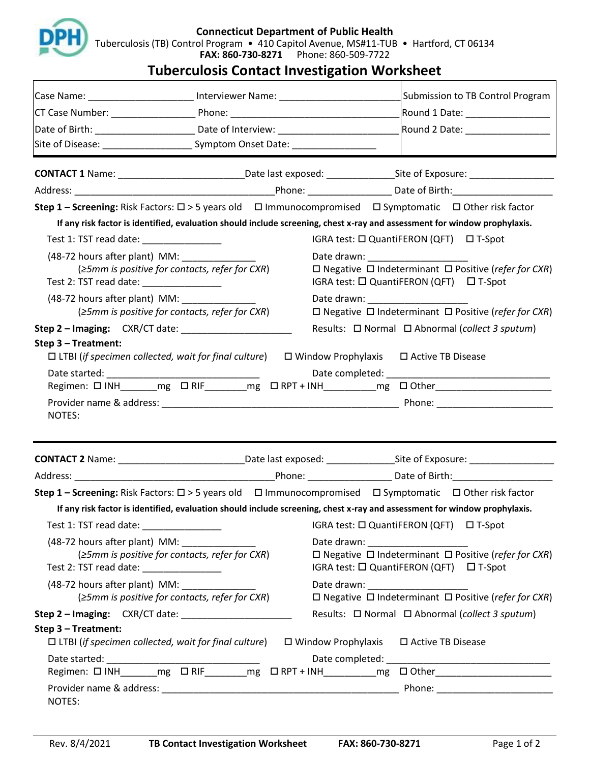

## **Tuberculosis Contact Investigation Worksheet**

| Case Name: ______________________ Interviewer Name: ____________________________                                                |                                                     | Submission to TB Control Program                                                                                                                     |  |
|---------------------------------------------------------------------------------------------------------------------------------|-----------------------------------------------------|------------------------------------------------------------------------------------------------------------------------------------------------------|--|
|                                                                                                                                 |                                                     | Round 1 Date: _________________                                                                                                                      |  |
| Date of Birth: _________________________________Date of Interview: ____________________                                         |                                                     |                                                                                                                                                      |  |
| Site of Disease: __________________________________Symptom Onset Date: _____________________________                            |                                                     |                                                                                                                                                      |  |
|                                                                                                                                 |                                                     |                                                                                                                                                      |  |
|                                                                                                                                 |                                                     |                                                                                                                                                      |  |
|                                                                                                                                 |                                                     | <b>Step 1 – Screening:</b> Risk Factors: $\Box$ > 5 years old $\Box$ Immunocompromised $\Box$ Symptomatic $\Box$ Other risk factor                   |  |
|                                                                                                                                 |                                                     | If any risk factor is identified, evaluation should include screening, chest x-ray and assessment for window prophylaxis.                            |  |
| Test 1: TST read date: _______________                                                                                          |                                                     | IGRA test: □ QuantiFERON (QFT) □ T-Spot                                                                                                              |  |
| (48-72 hours after plant) MM:<br>$\geq$ 5mm is positive for contacts, refer for CXR)<br>Test 2: TST read date: ________________ |                                                     | Date drawn: _____________________<br>$\Box$ Negative $\Box$ Indeterminant $\Box$ Positive (refer for CXR)<br>IGRA test: □ QuantiFERON (QFT) □ T-Spot |  |
| (48-72 hours after plant) MM:                                                                                                   |                                                     | Date drawn: __________________                                                                                                                       |  |
|                                                                                                                                 | $\geq$ 5mm is positive for contacts, refer for CXR) | $\Box$ Negative $\Box$ Indeterminant $\Box$ Positive (refer for CXR)                                                                                 |  |
|                                                                                                                                 |                                                     | Results: $\Box$ Normal $\Box$ Abnormal (collect 3 sputum)                                                                                            |  |
| Step 3 - Treatment:                                                                                                             |                                                     | $\Box$ LTBI (if specimen collected, wait for final culture) $\Box$ Window Prophylaxis $\Box$ Active TB Disease                                       |  |
|                                                                                                                                 |                                                     |                                                                                                                                                      |  |
|                                                                                                                                 |                                                     |                                                                                                                                                      |  |
|                                                                                                                                 |                                                     |                                                                                                                                                      |  |
| NOTES:                                                                                                                          |                                                     |                                                                                                                                                      |  |
|                                                                                                                                 |                                                     |                                                                                                                                                      |  |
|                                                                                                                                 |                                                     |                                                                                                                                                      |  |
|                                                                                                                                 |                                                     |                                                                                                                                                      |  |
|                                                                                                                                 |                                                     | <b>Step 1 – Screening:</b> Risk Factors: $\Box$ > 5 years old $\Box$ Immunocompromised $\Box$ Symptomatic $\Box$ Other risk factor                   |  |
|                                                                                                                                 |                                                     | If any risk factor is identified, evaluation should include screening, chest x-ray and assessment for window prophylaxis.                            |  |
| Test 1: TST read date: ________________                                                                                         |                                                     | IGRA test: □ QuantiFERON (QFT) □ T-Spot                                                                                                              |  |
| (48-72 hours after plant) MM:<br>Test 2: TST read date: ________________                                                        | $\geq$ 5mm is positive for contacts, refer for CXR) | $\Box$ Negative $\Box$ Indeterminant $\Box$ Positive (refer for CXR)<br>IGRA test: □ QuantiFERON (QFT) □ T-Spot                                      |  |
| (48-72 hours after plant) MM:<br>(≥5mm is positive for contacts, refer for CXR)                                                 |                                                     | $\Box$ Negative $\Box$ Indeterminant $\Box$ Positive (refer for CXR)                                                                                 |  |
|                                                                                                                                 |                                                     | Results: □ Normal □ Abnormal (collect 3 sputum)                                                                                                      |  |
| Step 3 - Treatment:                                                                                                             |                                                     |                                                                                                                                                      |  |
| $\Box$ LTBI (if specimen collected, wait for final culture)                                                                     |                                                     | $\Box$ Window Prophylaxis $\Box$ Active TB Disease                                                                                                   |  |
|                                                                                                                                 |                                                     | Regimen: $\Box$ INH ________mg _ $\Box$ RIF ________mg _ $\Box$ RPT + INH __________mg _ $\Box$ Other ________________________                       |  |
|                                                                                                                                 |                                                     |                                                                                                                                                      |  |
|                                                                                                                                 |                                                     |                                                                                                                                                      |  |